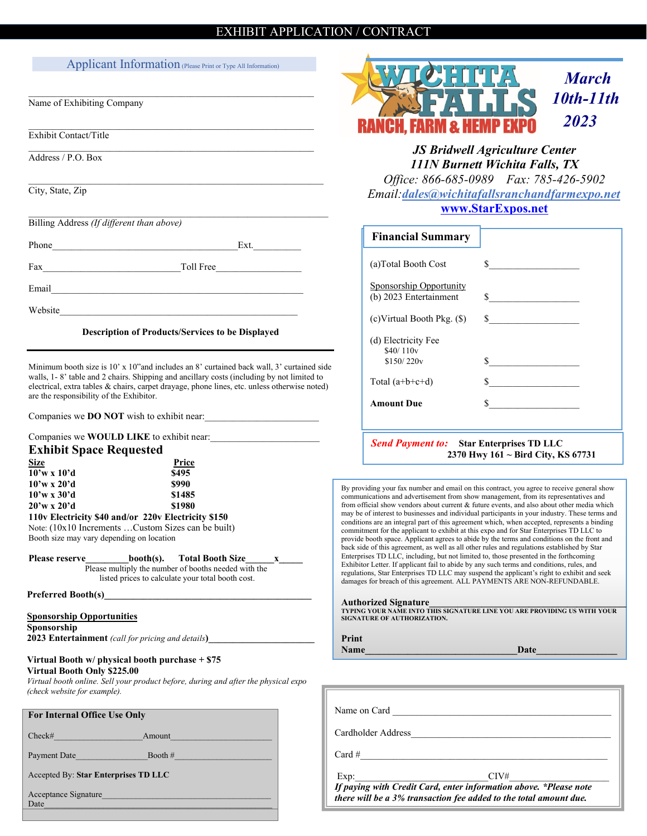# EXHIBIT APPLICATION / CONTRACT

# Applicant Information (Please Print or Type All Information)

 $\_$  , and the set of the set of the set of the set of the set of the set of the set of the set of the set of the set of the set of the set of the set of the set of the set of the set of the set of the set of the set of th

\_\_\_\_\_\_\_\_\_\_\_\_\_\_\_\_\_\_\_\_\_\_\_\_\_\_\_\_\_\_\_\_\_\_\_\_\_\_\_\_\_\_\_\_\_\_\_\_\_\_\_\_\_\_\_\_\_\_\_\_

 $\_$  , and the set of the set of the set of the set of the set of the set of the set of the set of the set of the set of the set of the set of the set of the set of the set of the set of the set of the set of the set of th

 $\_$  , and the set of the set of the set of the set of the set of the set of the set of the set of the set of the set of the set of the set of the set of the set of the set of the set of the set of the set of the set of th

 $\_$  , and the set of the set of the set of the set of the set of the set of the set of the set of the set of the set of the set of the set of the set of the set of the set of the set of the set of the set of the set of th

Name of Exhibiting Company

Exhibit Contact/Title

Address / P.O. Box

City, State, Zip

Billing Address *(If different than above)*

Phone Ext.

Fax Toll Free

Email\_\_\_\_\_\_\_\_\_\_\_\_\_\_\_\_\_\_\_\_\_\_\_\_\_\_\_\_\_\_\_\_\_\_\_\_\_\_\_\_\_\_\_\_\_\_\_\_\_\_\_\_\_

Website

# **Description of Products/Services to be Displayed**

Minimum booth size is 10' x 10"and includes an 8' curtained back wall, 3' curtained side walls, 1- 8' table and 2 chairs. Shipping and ancillary costs (including by not limited to electrical, extra tables & chairs, carpet drayage, phone lines, etc. unless otherwise noted) are the responsibility of the Exhibitor.

Companies we **DO NOT** wish to exhibit near:

## Companies we **WOULD LIKE** to exhibit near:

# **Exhibit Space Requested**

| <b>Size</b>                                           | Price  |
|-------------------------------------------------------|--------|
| $10'$ w x $10'd$                                      | \$495  |
| $10'$ w x 20'd                                        | \$990  |
| $10'$ w x 30'd                                        | \$1485 |
| $20'w \times 20'd$                                    | \$1980 |
| 110 v Electricity \$40 and/or 220 v Electricity \$150 |        |
| $\mathbf{v} = (10, 10.1)$ $\mathbf{v} = (1, 1, 1)$    |        |

Note: (10x10 Increments …Custom Sizes can be built) Booth size may vary depending on location

# Please reserve **booth(s).** Total Booth Size

Please multiply the number of booths needed with the listed prices to calculate your total booth cost.

Preferred Booth(s)\_

# **Sponsorship Opportunities**

**Sponsorship**

**2023 Entertainment** *(call for pricing and details***)\_\_\_\_\_\_\_\_\_\_\_\_\_\_\_\_\_\_\_\_\_\_** 

# **Virtual Booth w/ physical booth purchase + \$75**

**Virtual Booth Only \$225.00** *Virtual booth online. Sell your product before, during and after the physical expo (check website for example).* 

| Check#<br>Amount                     |  |  |  |
|--------------------------------------|--|--|--|
|                                      |  |  |  |
| Booth $#$<br>Payment Date            |  |  |  |
| Accepted By: Star Enterprises TD LLC |  |  |  |
| Acceptance Signature<br>Date         |  |  |  |



# *JS Bridwell Agriculture Center 111N Burnett Wichita Falls, TX*

*Office: 866-685-0989 Fax: 785-426-5902 Email:[dales@wichitafallsranchandfarmexpo.net](mailto:dales@mccookfarmandranchexpo.net)* **[www.StarExpos.net](http://www.starexpos.net/)**

| <b>Financial Summary</b>                                 |        |
|----------------------------------------------------------|--------|
| (a)Total Booth Cost                                      | S.     |
| <b>Sponsorship Opportunity</b><br>(b) 2023 Entertainment |        |
| $(c)$ Virtual Booth Pkg. $(\$)$                          | $\sim$ |
| (d) Electricity Fee<br>\$40/110v                         |        |
| \$150/220v                                               | \$     |
| Total $(a+b+c+d)$                                        | $\sim$ |
| <b>Amount Due</b>                                        | S      |
|                                                          |        |
|                                                          |        |

*Send Payment to:* **Star Enterprises TD LLC 2370 Hwy 161 ~ Bird City, KS 67731**

By providing your fax number and email on this contract, you agree to receive general show communications and advertisement from show management, from its representatives and from official show vendors about current & future events, and also about other media which may be of interest to businesses and individual participants in your industry. These terms and conditions are an integral part of this agreement which, when accepted, represents a binding commitment for the applicant to exhibit at this expo and for Star Enterprises TD LLC to provide booth space. Applicant agrees to abide by the terms and conditions on the front and back side of this agreement, as well as all other rules and regulations established by Star Enterprises TD LLC, including, but not limited to, those presented in the forthcoming Exhibitor Letter. If applicant fail to abide by any such terms and conditions, rules, and regulations, Star Enterprises TD LLC may suspend the applicant's right to exhibit and seek damages for breach of this agreement. ALL PAYMENTS ARE NON-REFUNDABLE.

## **Authorized Signature\_\_\_\_\_\_\_\_\_\_\_\_\_\_\_\_\_\_\_\_\_\_\_\_\_\_\_\_\_\_\_\_\_\_\_\_\_\_\_\_\_\_**

**TYPING YOUR NAME INTO THIS SIGNATURE LINE YOU ARE PROVIDING US WITH YOUR SIGNATURE OF AUTHORIZATION.**

| Print       |      |
|-------------|------|
| <b>Name</b> | Date |

| Name on Card       |                                                                                                                                        |
|--------------------|----------------------------------------------------------------------------------------------------------------------------------------|
| Cardholder Address |                                                                                                                                        |
| Card $#$           |                                                                                                                                        |
| Exp:               | $\text{CIV#}$                                                                                                                          |
|                    | If paying with Credit Card, enter information above. *Please note<br>there will be a 3% transaction fee added to the total amount due. |